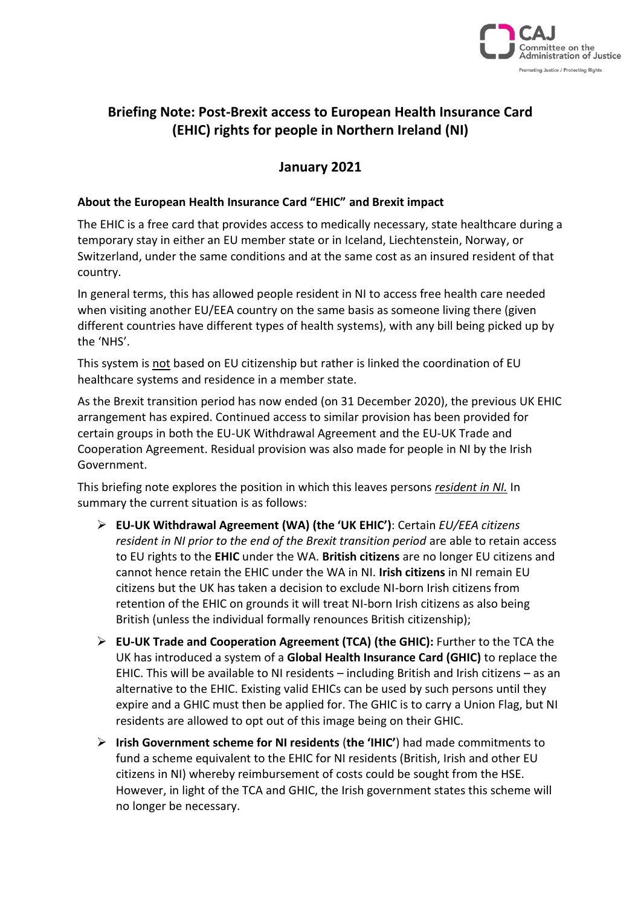

# **Briefing Note: Post-Brexit access to European Health Insurance Card (EHIC) rights for people in Northern Ireland (NI)**

### **January 2021**

### **About the European Health Insurance Card "EHIC" and Brexit impact**

The EHIC is a free card that provides access to medically necessary, state healthcare during a temporary stay in either an EU member state or in Iceland, Liechtenstein, Norway, or Switzerland, under the same conditions and at the same cost as an insured resident of that country.

In general terms, this has allowed people resident in NI to access free health care needed when visiting another EU/EEA country on the same basis as someone living there (given different countries have different types of health systems), with any bill being picked up by the 'NHS'.

This system is not based on EU citizenship but rather is linked the coordination of EU healthcare systems and residence in a member state.

As the Brexit transition period has now ended (on 31 December 2020), the previous UK EHIC arrangement has expired. Continued access to similar provision has been provided for certain groups in both the EU-UK Withdrawal Agreement and the EU-UK Trade and Cooperation Agreement. Residual provision was also made for people in NI by the Irish Government.

This briefing note explores the position in which this leaves persons *resident in NI.* In summary the current situation is as follows:

- ➢ **EU-UK Withdrawal Agreement (WA) (the 'UK EHIC')**: Certain *EU/EEA citizens resident in NI prior to the end of the Brexit transition period* are able to retain access to EU rights to the **EHIC** under the WA. **British citizens** are no longer EU citizens and cannot hence retain the EHIC under the WA in NI. **Irish citizens** in NI remain EU citizens but the UK has taken a decision to exclude NI-born Irish citizens from retention of the EHIC on grounds it will treat NI-born Irish citizens as also being British (unless the individual formally renounces British citizenship);
- ➢ **EU-UK Trade and Cooperation Agreement (TCA) (the GHIC):** Further to the TCA the UK has introduced a system of a **Global Health Insurance Card (GHIC)** to replace the EHIC. This will be available to NI residents – including British and Irish citizens – as an alternative to the EHIC. Existing valid EHICs can be used by such persons until they expire and a GHIC must then be applied for. The GHIC is to carry a Union Flag, but NI residents are allowed to opt out of this image being on their GHIC.
- ➢ **Irish Government scheme for NI residents** (**the 'IHIC'**) had made commitments to fund a scheme equivalent to the EHIC for NI residents (British, Irish and other EU citizens in NI) whereby reimbursement of costs could be sought from the HSE. However, in light of the TCA and GHIC, the Irish government states this scheme will no longer be necessary.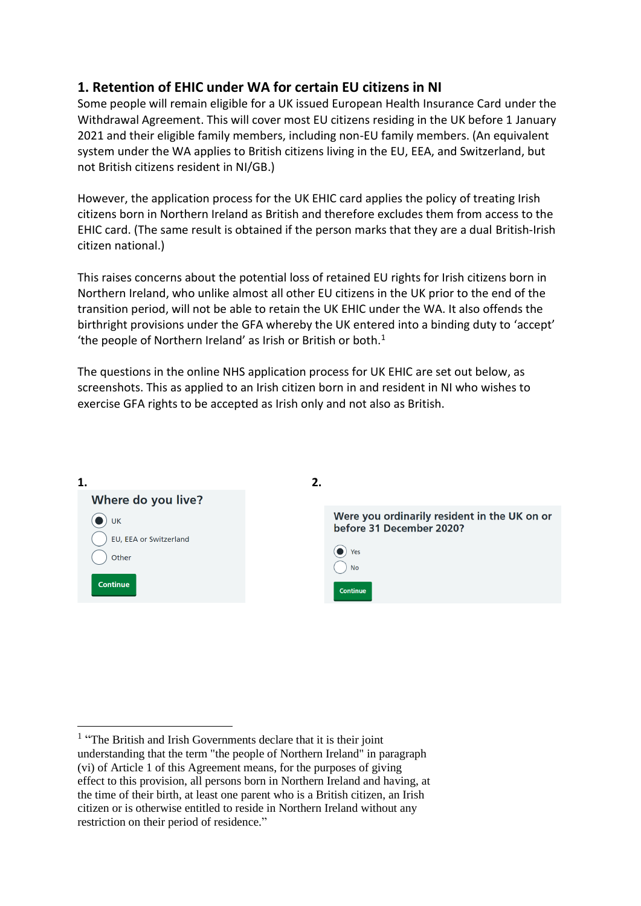### **1. Retention of EHIC under WA for certain EU citizens in NI**

Some people will remain eligible for a UK issued European Health Insurance Card under the Withdrawal Agreement. This will cover most EU citizens residing in the UK before 1 January 2021 and their eligible family members, including non-EU family members. (An equivalent system under the WA applies to British citizens living in the EU, EEA, and Switzerland, but not British citizens resident in NI/GB.)

However, the application process for the UK EHIC card applies the policy of treating Irish citizens born in Northern Ireland as British and therefore excludes them from access to the EHIC card. (The same result is obtained if the person marks that they are a dual British-Irish citizen national.)

This raises concerns about the potential loss of retained EU rights for Irish citizens born in Northern Ireland, who unlike almost all other EU citizens in the UK prior to the end of the transition period, will not be able to retain the UK EHIC under the WA. It also offends the birthright provisions under the GFA whereby the UK entered into a binding duty to 'accept' 'the people of Northern Ireland' as Irish or British or both. $1$ 

The questions in the online NHS application process for UK EHIC are set out below, as screenshots. This as applied to an Irish citizen born in and resident in NI who wishes to exercise GFA rights to be accepted as Irish only and not also as British.



<sup>&</sup>lt;sup>1</sup> "The British and Irish Governments declare that it is their joint understanding that the term "the people of Northern Ireland" in paragraph (vi) of Article 1 of this Agreement means, for the purposes of giving effect to this provision, all persons born in Northern Ireland and having, at the time of their birth, at least one parent who is a British citizen, an Irish citizen or is otherwise entitled to reside in Northern Ireland without any restriction on their period of residence."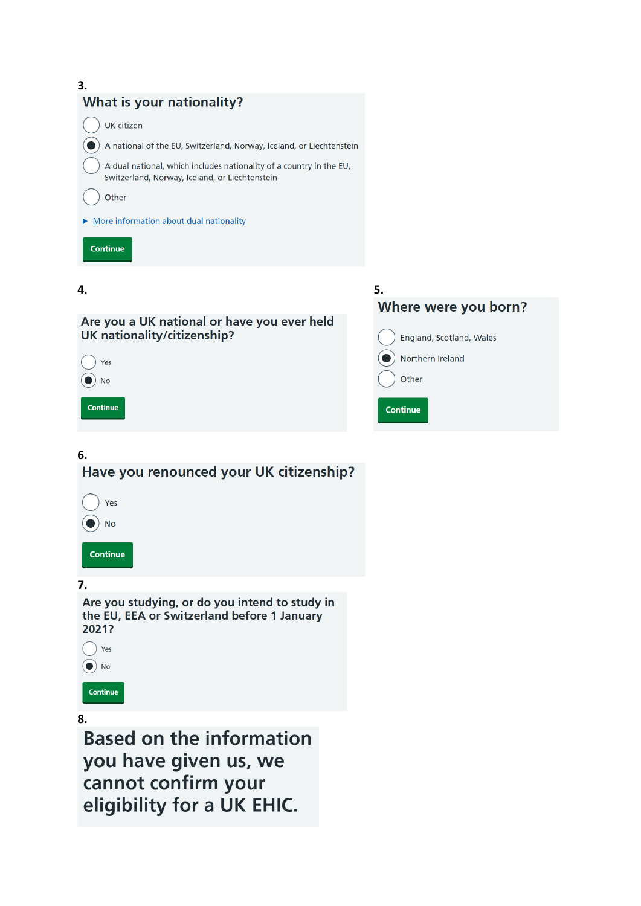



### Are you a UK national or have you ever held UK nationality/citizenship?



# **6.** Have you renounced your UK citizenship? Yes  $\bullet$ ) No Continue **7.**

Are you studying, or do you intend to study in the EU, EEA or Switzerland before 1 January 2021?



Continue

# **8.**

**Based on the information** you have given us, we cannot confirm your eligibility for a UK EHIC.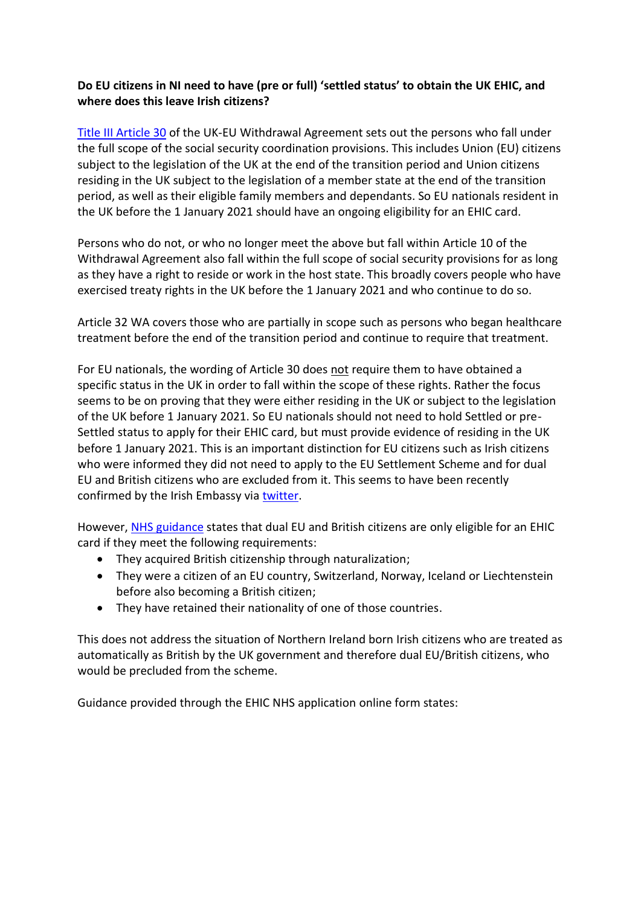### **Do EU citizens in NI need to have (pre or full) 'settled status' to obtain the UK EHIC, and where does this leave Irish citizens?**

[Title III Article 30](https://assets.publishing.service.gov.uk/government/uploads/system/uploads/attachment_data/file/840655/Agreement_on_the_withdrawal_of_the_United_Kingdom_of_Great_Britain_and_Northern_Ireland_from_the_European_Union_and_the_European_Atomic_Energy_Community.pdf#page=56) of the UK-EU Withdrawal Agreement sets out the persons who fall under the full scope of the social security coordination provisions. This includes Union (EU) citizens subject to the legislation of the UK at the end of the transition period and Union citizens residing in the UK subject to the legislation of a member state at the end of the transition period, as well as their eligible family members and dependants. So EU nationals resident in the UK before the 1 January 2021 should have an ongoing eligibility for an EHIC card.

Persons who do not, or who no longer meet the above but fall within Article 10 of the Withdrawal Agreement also fall within the full scope of social security provisions for as long as they have a right to reside or work in the host state. This broadly covers people who have exercised treaty rights in the UK before the 1 January 2021 and who continue to do so.

Article 32 WA covers those who are partially in scope such as persons who began healthcare treatment before the end of the transition period and continue to require that treatment.

For EU nationals, the wording of Article 30 does not require them to have obtained a specific status in the UK in order to fall within the scope of these rights. Rather the focus seems to be on proving that they were either residing in the UK or subject to the legislation of the UK before 1 January 2021. So EU nationals should not need to hold Settled or pre-Settled status to apply for their EHIC card, but must provide evidence of residing in the UK before 1 January 2021. This is an important distinction for EU citizens such as Irish citizens who were informed they did not need to apply to the EU Settlement Scheme and for dual EU and British citizens who are excluded from it. This seems to have been recently confirmed by the Irish Embassy vi[a twitter.](https://twitter.com/IrelandEmbGB/status/1346423492162547713)

However[, NHS guidance](https://www.nhs.uk/using-the-nhs/healthcare-abroad/apply-for-a-free-ehic-european-health-insurance-card/) states that dual EU and British citizens are only eligible for an EHIC card if they meet the following requirements:

- They acquired British citizenship through naturalization;
- They were a citizen of an EU country, Switzerland, Norway, Iceland or Liechtenstein before also becoming a British citizen;
- They have retained their nationality of one of those countries.

This does not address the situation of Northern Ireland born Irish citizens who are treated as automatically as British by the UK government and therefore dual EU/British citizens, who would be precluded from the scheme.

Guidance provided through the EHIC NHS application online form states: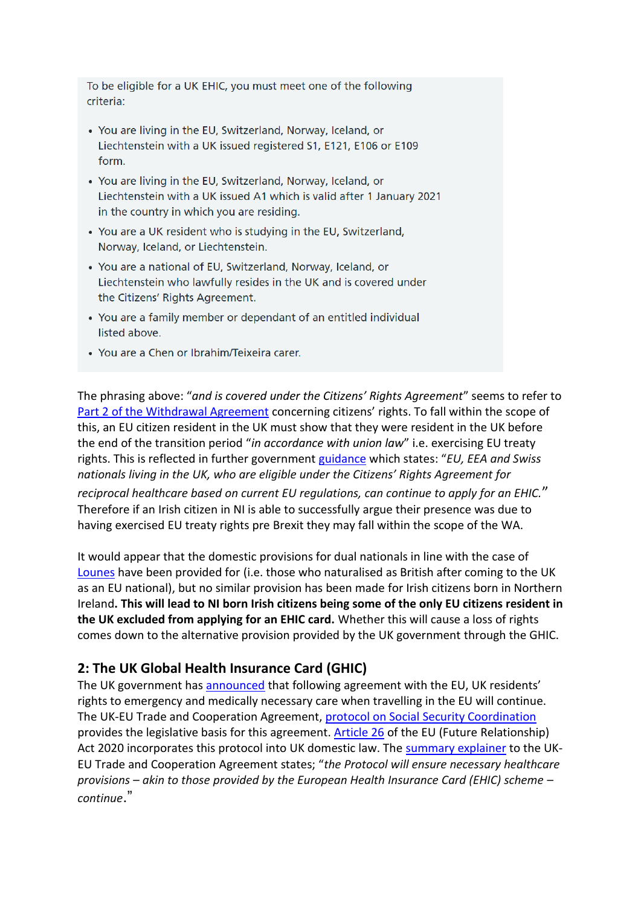To be eligible for a UK EHIC, you must meet one of the following criteria:

- You are living in the EU, Switzerland, Norway, Iceland, or Liechtenstein with a UK issued registered S1, E121, E106 or E109 form.
- You are living in the EU, Switzerland, Norway, Iceland, or Liechtenstein with a UK issued A1 which is valid after 1 January 2021 in the country in which you are residing.
- You are a UK resident who is studying in the EU, Switzerland, Norway, Iceland, or Liechtenstein.
- You are a national of EU, Switzerland, Norway, Iceland, or Liechtenstein who lawfully resides in the UK and is covered under the Citizens' Rights Agreement.
- You are a family member or dependant of an entitled individual listed above.
- You are a Chen or Ibrahim/Teixeira carer.

The phrasing above: "*and is covered under the Citizens' Rights Agreement*" seems to refer to [Part 2 of the Withdrawal Agreement](https://assets.publishing.service.gov.uk/government/uploads/system/uploads/attachment_data/file/840655/Agreement_on_the_withdrawal_of_the_United_Kingdom_of_Great_Britain_and_Northern_Ireland_from_the_European_Union_and_the_European_Atomic_Energy_Community.pdf#page=22) concerning citizens' rights. To fall within the scope of this, an EU citizen resident in the UK must show that they were resident in the UK before the end of the transition period "*in accordance with union law*" i.e. exercising EU treaty rights. This is reflected in further government [guidance](https://www.gov.uk/government/news/uk-launches-global-health-insurance-card) which states: "*EU, EEA and Swiss nationals living in the UK, who are eligible under the Citizens' Rights Agreement for reciprocal healthcare based on current EU regulations, can continue to apply for an EHIC.*" Therefore if an Irish citizen in NI is able to successfully argue their presence was due to having exercised EU treaty rights pre Brexit they may fall within the scope of the WA.

It would appear that the domestic provisions for dual nationals in line with the case of [Lounes](http://curia.europa.eu/juris/document/document.jsf?text=&docid=196641&pageIndex=0&doclang=EN&mode=req&dir=&occ=first&part=1&cid=638898) have been provided for (i.e. those who naturalised as British after coming to the UK as an EU national), but no similar provision has been made for Irish citizens born in Northern Ireland**. This will lead to NI born Irish citizens being some of the only EU citizens resident in the UK excluded from applying for an EHIC card.** Whether this will cause a loss of rights comes down to the alternative provision provided by the UK government through the GHIC.

# **2: The UK Global Health Insurance Card (GHIC)**

The UK government has [announced](https://www.gov.uk/government/news/uk-launches-global-health-insurance-card) that following agreement with the EU, UK residents' rights to emergency and medically necessary care when travelling in the EU will continue. The UK-EU Trade and Cooperation Agreement, [protocol on Social Security Coordination](https://assets.publishing.service.gov.uk/government/uploads/system/uploads/attachment_data/file/948119/EU-UK_Trade_and_Cooperation_Agreement_24.12.2020.pdf#page=1132) provides the legislative basis for this agreement. [Article 26](https://www.legislation.gov.uk/ukpga/2020/29/section/26/enacted) of the EU (Future Relationship) Act 2020 incorporates this protocol into UK domestic law. The [summary explainer](https://www.gov.uk/government/publications/agreements-reached-between-the-united-kingdom-of-great-britain-and-northern-ireland-and-the-european-union/summary-explainer) to the UK-EU Trade and Cooperation Agreement states; "*the Protocol will ensure necessary healthcare provisions – akin to those provided by the European Health Insurance Card (EHIC) scheme – continue*."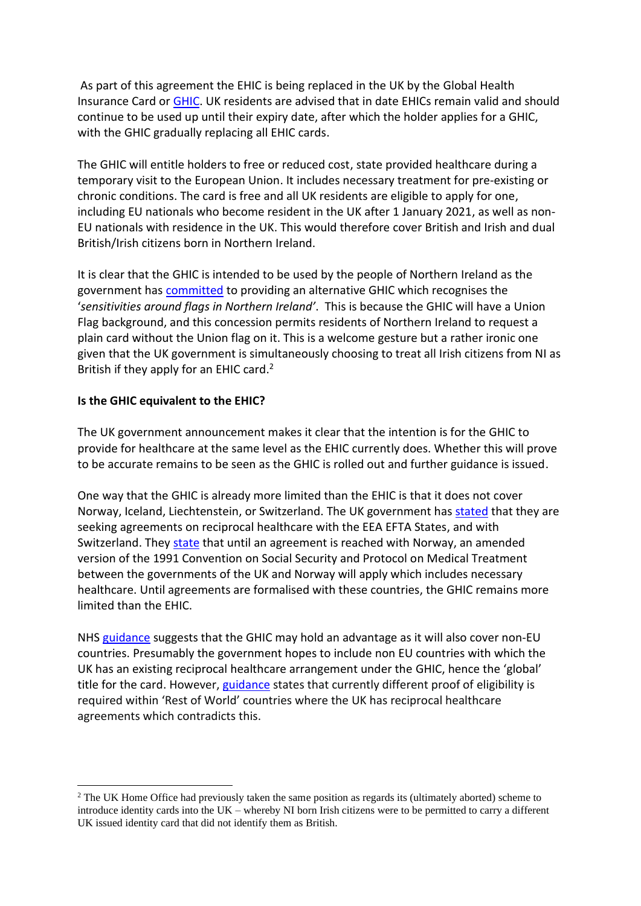As part of this agreement the EHIC is being replaced in the UK by the Global Health Insurance Card or [GHIC.](https://www.ghic.org.uk/Internet/startApplication.do) UK residents are advised that in date EHICs remain valid and should continue to be used up until their expiry date, after which the holder applies for a GHIC, with the GHIC gradually replacing all EHIC cards.

The GHIC will entitle holders to free or reduced cost, state provided healthcare during a temporary visit to the European Union. It includes necessary treatment for pre-existing or chronic conditions. The card is free and all UK residents are eligible to apply for one, including EU nationals who become resident in the UK after 1 January 2021, as well as non-EU nationals with residence in the UK. This would therefore cover British and Irish and dual British/Irish citizens born in Northern Ireland.

It is clear that the GHIC is intended to be used by the people of Northern Ireland as the government has [committed](https://www.gov.uk/government/news/uk-launches-global-health-insurance-card) to providing an alternative GHIC which recognises the '*sensitivities around flags in Northern Ireland'*. This is because the GHIC will have a Union Flag background, and this concession permits residents of Northern Ireland to request a plain card without the Union flag on it. This is a welcome gesture but a rather ironic one given that the UK government is simultaneously choosing to treat all Irish citizens from NI as British if they apply for an EHIC card. 2

### **Is the GHIC equivalent to the EHIC?**

The UK government announcement makes it clear that the intention is for the GHIC to provide for healthcare at the same level as the EHIC currently does. Whether this will prove to be accurate remains to be seen as the GHIC is rolled out and further guidance is issued.

One way that the GHIC is already more limited than the EHIC is that it does not cover Norway, Iceland, Liechtenstein, or Switzerland. The UK government ha[s stated](https://www.gov.uk/government/news/uk-launches-global-health-insurance-card) that they are seeking agreements on reciprocal healthcare with the EEA EFTA States, and with Switzerland. They [state](https://www.gov.uk/government/news/uk-launches-global-health-insurance-card) that until an agreement is reached with Norway, an amended version of the 1991 Convention on Social Security and Protocol on Medical Treatment between the governments of the UK and Norway will apply which includes necessary healthcare. Until agreements are formalised with these countries, the GHIC remains more limited than the EHIC.

NHS [guidance](https://www.ghic.org.uk/Internet/startApplication.do) suggests that the GHIC may hold an advantage as it will also cover non-EU countries. Presumably the government hopes to include non EU countries with which the UK has an existing reciprocal healthcare arrangement under the GHIC, hence the 'global' title for the card. However, [guidance](https://www.gov.uk/government/news/uk-launches-global-health-insurance-card) states that currently different proof of eligibility is required within 'Rest of World' countries where the UK has reciprocal healthcare agreements which contradicts this.

<sup>&</sup>lt;sup>2</sup> The UK Home Office had previously taken the same position as regards its (ultimately aborted) scheme to introduce identity cards into the UK – whereby NI born Irish citizens were to be permitted to carry a different UK issued identity card that did not identify them as British.